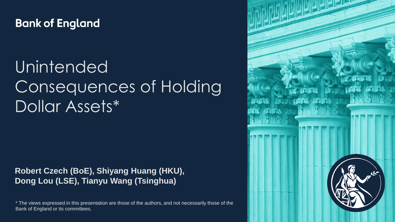#### **Bank of England**

# Unintended Consequences of Holding Dollar Assets\*

#### **Robert Czech (BoE), Shiyang Huang (HKU), Dong Lou (LSE), Tianyu Wang (Tsinghua)**

\* The views expressed in this presentation are those of the authors, and not necessarily those of the Bank of England or its committees.

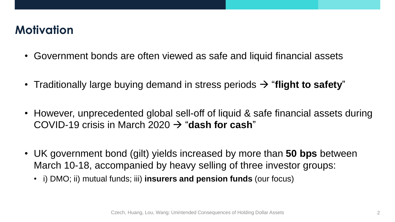# **Motivation**

- Government bonds are often viewed as safe and liquid financial assets
- Traditionally large buying demand in stress periods  $\rightarrow$  "flight to safety"
- However, unprecedented global sell-off of liquid & safe financial assets during COVID-19 crisis in March 2020 "**dash for cash**"
- UK government bond (gilt) yields increased by more than **50 bps** between March 10-18, accompanied by heavy selling of three investor groups:
	- i) DMO; ii) mutual funds; iii) **insurers and pension funds** (our focus)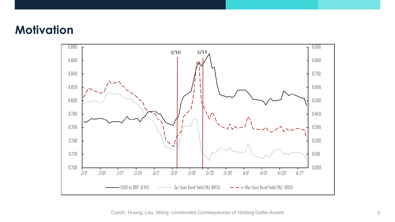#### **Motivation**



Czech, Huang, Lou, Wang: Unintended Consequences of Holding Dollar Assets 3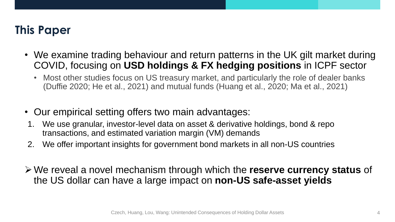# **This Paper**

- We examine trading behaviour and return patterns in the UK gilt market during COVID, focusing on **USD holdings & FX hedging positions** in ICPF sector
	- Most other studies focus on US treasury market, and particularly the role of dealer banks (Duffie 2020; He et al., 2021) and mutual funds (Huang et al., 2020; Ma et al., 2021)
- Our empirical setting offers two main advantages:
- 1. We use granular, investor-level data on asset & derivative holdings, bond & repo transactions, and estimated variation margin (VM) demands
- 2. We offer important insights for government bond markets in all non-US countries
- We reveal a novel mechanism through which the **reserve currency status** of the US dollar can have a large impact on **non-US safe-asset yields**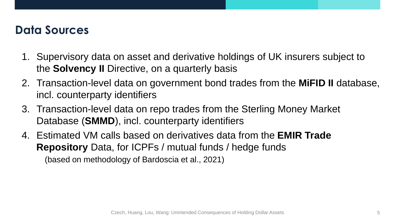#### **Data Sources**

- 1. Supervisory data on asset and derivative holdings of UK insurers subject to the **Solvency II** Directive, on a quarterly basis
- 2. Transaction-level data on government bond trades from the **MiFID II** database, incl. counterparty identifiers
- 3. Transaction-level data on repo trades from the Sterling Money Market Database (**SMMD**), incl. counterparty identifiers
- 4. Estimated VM calls based on derivatives data from the **EMIR Trade Repository** Data, for ICPFs / mutual funds / hedge funds (based on methodology of Bardoscia et al., 2021)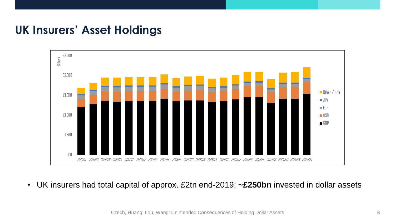#### **UK Insurers' Asset Holdings**



• UK insurers had total capital of approx. £2tn end-2019; **~£250bn** invested in dollar assets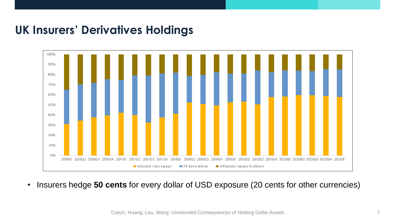#### **UK Insurers' Derivatives Holdings**



• Insurers hedge **50 cents** for every dollar of USD exposure (20 cents for other currencies)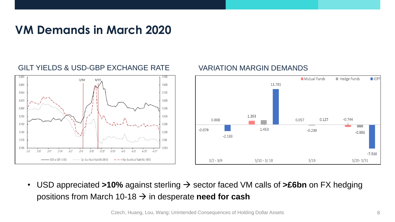#### **VM Demands in March 2020**

#### GILT YIELDS & USD-GBP EXCHANGE RATE VARIATION MARGIN DEMANDS





• USD appreciated >10% against sterling  $\rightarrow$  sector faced VM calls of >£6bn on FX hedging positions from March 10-18  $\rightarrow$  in desperate **need for cash**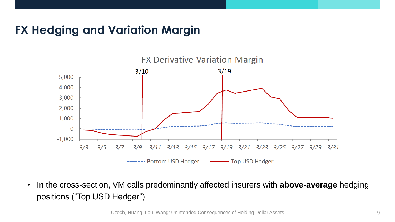## **FX Hedging and Variation Margin**



• In the cross-section, VM calls predominantly affected insurers with **above-average** hedging positions ("Top USD Hedger")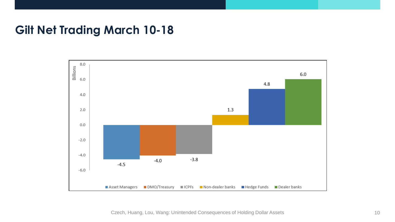#### **Gilt Net Trading March 10-18**



Czech, Huang, Lou, Wang: Unintended Consequences of Holding Dollar Assets 10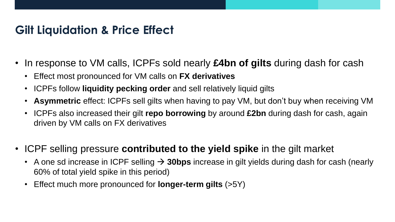#### **Gilt Liquidation & Price Effect**

- In response to VM calls, ICPFs sold nearly **£4bn of gilts** during dash for cash
	- Effect most pronounced for VM calls on **FX derivatives**
	- ICPFs follow **liquidity pecking order** and sell relatively liquid gilts
	- **Asymmetric** effect: ICPFs sell gilts when having to pay VM, but don't buy when receiving VM
	- ICPFs also increased their gilt **repo borrowing** by around **£2bn** during dash for cash, again driven by VM calls on FX derivatives
- ICPF selling pressure **contributed to the yield spike** in the gilt market
	- A one sd increase in ICPF selling  $\rightarrow$  30bps increase in gilt yields during dash for cash (nearly 60% of total yield spike in this period)
	- Effect much more pronounced for **longer-term gilts** (>5Y)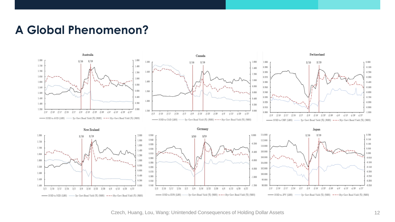#### **A Global Phenomenon?**



Czech, Huang, Lou, Wang: Unintended Consequences of Holding Dollar Assets 12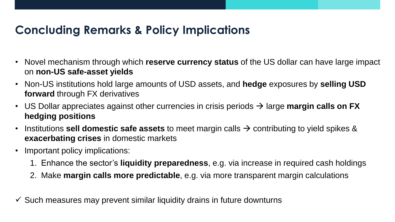# **Concluding Remarks & Policy Implications**

- Novel mechanism through which **reserve currency status** of the US dollar can have large impact on **non-US safe-asset yields**
- Non-US institutions hold large amounts of USD assets, and **hedge** exposures by **selling USD forward** through FX derivatives
- US Dollar appreciates against other currencies in crisis periods  $\rightarrow$  large **margin calls on FX hedging positions**
- Institutions **sell domestic safe assets** to meet margin calls  $\rightarrow$  contributing to yield spikes & **exacerbating crises** in domestic markets
- Important policy implications:
	- 1. Enhance the sector's **liquidity preparedness**, e.g. via increase in required cash holdings
	- 2. Make **margin calls more predictable**, e.g. via more transparent margin calculations
- $\checkmark$  Such measures may prevent similar liquidity drains in future downturns